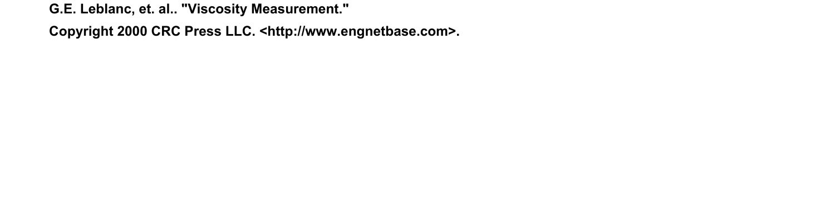#### **G.E. Leblanc, et. al.. "Viscosity Measurement."**

**Copyright 2000 CRC Press LLC. <http://www.engnetbase.com>.**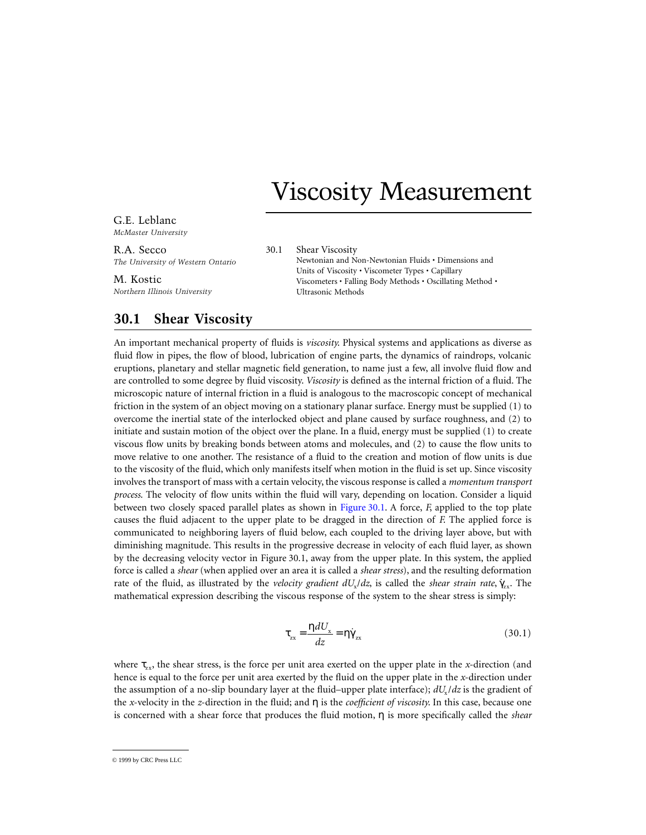# Viscosity Measurement

G.E. Leblanc *McMaster University*

R.A. Secco *The University of Western Ontario*

M. Kostic *Northern Illinois University*

#### 30.1 Shear Viscosity Newtonian and Non-Newtonian Fluids • Dimensions and Units of Viscosity • Viscometer Types • Capillary

Viscometers • Falling Body Methods • Oscillating Method • Ultrasonic Methods

## **30.1 Shear Viscosity**

An important mechanical property of fluids is *viscosity*. Physical systems and applications as diverse as fluid flow in pipes, the flow of blood, lubrication of engine parts, the dynamics of raindrops, volcanic eruptions, planetary and stellar magnetic field generation, to name just a few, all involve fluid flow and are controlled to some degree by fluid viscosity. *Viscosity* is defined as the internal friction of a fluid. The microscopic nature of internal friction in a fluid is analogous to the macroscopic concept of mechanical friction in the system of an object moving on a stationary planar surface. Energy must be supplied (1) to overcome the inertial state of the interlocked object and plane caused by surface roughness, and (2) to initiate and sustain motion of the object over the plane. In a fluid, energy must be supplied (1) to create viscous flow units by breaking bonds between atoms and molecules, and (2) to cause the flow units to move relative to one another. The resistance of a fluid to the creation and motion of flow units is due to the viscosity of the fluid, which only manifests itself when motion in the fluid is set up. Since viscosity involves the transport of mass with a certain velocity, the viscous response is called a *momentum transport process*. The velocity of flow units within the fluid will vary, depending on location. Consider a liquid between two closely spaced parallel plates as shown in [Figure 30.1.](#page-2-0) A force, *F*, applied to the top plate causes the fluid adjacent to the upper plate to be dragged in the direction of *F*. The applied force is communicated to neighboring layers of fluid below, each coupled to the driving layer above, but with diminishing magnitude. This results in the progressive decrease in velocity of each fluid layer, as shown by the decreasing velocity vector in Figure 30.1, away from the upper plate. In this system, the applied force is called a *shear* (when applied over an area it is called a *shear stress*), and the resulting deformation rate of the fluid, as illustrated by the *velocity gradient*  $dU_x/dz$ , is called the *shear strain rate*,  $\dot{\gamma}_{xx}$ . The mathematical expression describing the viscous response of the system to the shear stress is simply:

$$
\tau_{xx} = \frac{\eta dU_x}{dz} = \eta \dot{\gamma}_{xx}
$$
\n(30.1)

where  $\tau_{zx}$ , the shear stress, is the force per unit area exerted on the upper plate in the *x*-direction (and hence is equal to the force per unit area exerted by the fluid on the upper plate in the *x*-direction under the assumption of a no-slip boundary layer at the fluid–upper plate interface);  $dU_x/dz$  is the gradient of the *x*-velocity in the *z*-direction in the fluid; and η is the *coefficient of viscosity*. In this case, because one is concerned with a shear force that produces the fluid motion, η is more specifically called the *shear*

<sup>© 1999</sup> by CRC Press LLC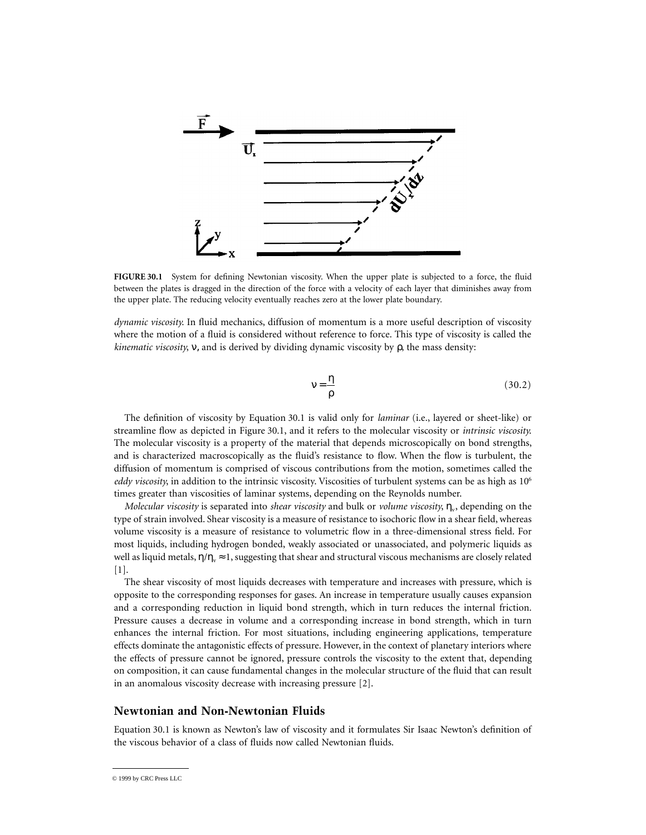<span id="page-2-0"></span>

**FIGURE 30.1** System for defining Newtonian viscosity. When the upper plate is subjected to a force, the fluid between the plates is dragged in the direction of the force with a velocity of each layer that diminishes away from the upper plate. The reducing velocity eventually reaches zero at the lower plate boundary.

*dynamic viscosity*. In fluid mechanics, diffusion of momentum is a more useful description of viscosity where the motion of a fluid is considered without reference to force. This type of viscosity is called the *kinematic viscosity*, ν, and is derived by dividing dynamic viscosity by ρ, the mass density:

$$
v = \frac{\eta}{\rho} \tag{30.2}
$$

The definition of viscosity by Equation 30.1 is valid only for *laminar* (i.e., layered or sheet-like) or streamline flow as depicted in Figure 30.1, and it refers to the molecular viscosity or *intrinsic viscosity*. The molecular viscosity is a property of the material that depends microscopically on bond strengths, and is characterized macroscopically as the fluid's resistance to flow. When the flow is turbulent, the diffusion of momentum is comprised of viscous contributions from the motion, sometimes called the *eddy viscosity*, in addition to the intrinsic viscosity. Viscosities of turbulent systems can be as high as 10<sup>6</sup> times greater than viscosities of laminar systems, depending on the Reynolds number.

*Molecular viscosity* is separated into *shear viscosity* and bulk or *volume viscosity*,  $\eta_v$ , depending on the type of strain involved. Shear viscosity is a measure of resistance to isochoric flow in a shear field, whereas volume viscosity is a measure of resistance to volumetric flow in a three-dimensional stress field. For most liquids, including hydrogen bonded, weakly associated or unassociated, and polymeric liquids as well as liquid metals,  $\eta/\eta_v \approx 1$ , suggesting that shear and structural viscous mechanisms are closely related [1].

The shear viscosity of most liquids decreases with temperature and increases with pressure, which is opposite to the corresponding responses for gases. An increase in temperature usually causes expansion and a corresponding reduction in liquid bond strength, which in turn reduces the internal friction. Pressure causes a decrease in volume and a corresponding increase in bond strength, which in turn enhances the internal friction. For most situations, including engineering applications, temperature effects dominate the antagonistic effects of pressure. However, in the context of planetary interiors where the effects of pressure cannot be ignored, pressure controls the viscosity to the extent that, depending on composition, it can cause fundamental changes in the molecular structure of the fluid that can result in an anomalous viscosity decrease with increasing pressure [2].

## **Newtonian and Non-Newtonian Fluids**

Equation 30.1 is known as Newton's law of viscosity and it formulates Sir Isaac Newton's definition of the viscous behavior of a class of fluids now called Newtonian fluids.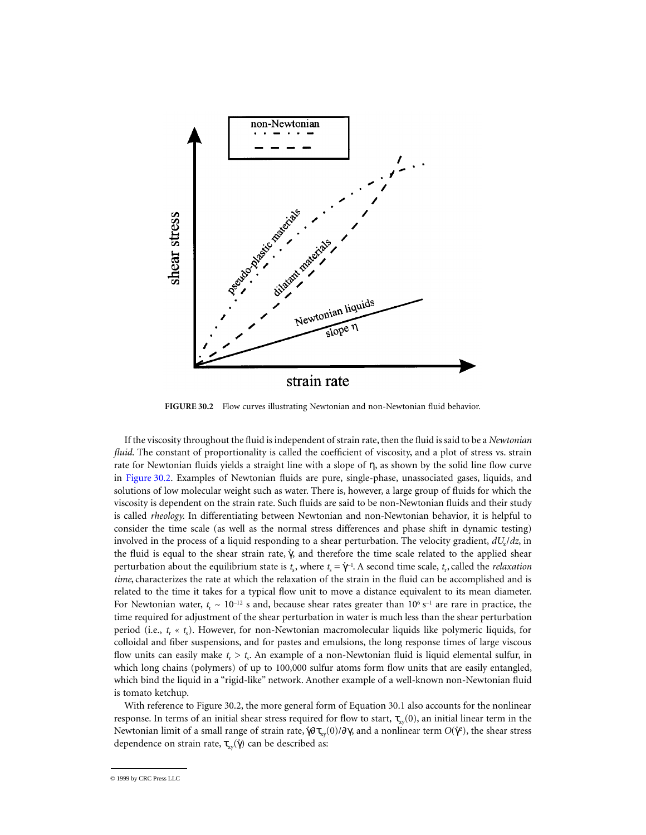

**FIGURE 30.2** Flow curves illustrating Newtonian and non-Newtonian fluid behavior.

If the viscosity throughout the fluid is independent of strain rate, then the fluid is said to be a *Newtonian fluid*. The constant of proportionality is called the coefficient of viscosity, and a plot of stress vs. strain rate for Newtonian fluids yields a straight line with a slope of  $\eta$ , as shown by the solid line flow curve in Figure 30.2. Examples of Newtonian fluids are pure, single-phase, unassociated gases, liquids, and solutions of low molecular weight such as water. There is, however, a large group of fluids for which the viscosity is dependent on the strain rate. Such fluids are said to be non-Newtonian fluids and their study is called *rheology*. In differentiating between Newtonian and non-Newtonian behavior, it is helpful to consider the time scale (as well as the normal stress differences and phase shift in dynamic testing) involved in the process of a liquid responding to a shear perturbation. The velocity gradient,  $dU/dz$ , in the fluid is equal to the shear strain rate,  $\dot{\gamma}$ , and therefore the time scale related to the applied shear perturbation about the equilibrium state is  $t_s$ , where  $t_s = \dot{\gamma}^{-1}$ . A second time scale,  $t_t$ , called the *relaxation time*, characterizes the rate at which the relaxation of the strain in the fluid can be accomplished and is related to the time it takes for a typical flow unit to move a distance equivalent to its mean diameter. For Newtonian water,  $t_r \sim 10^{-12}$  s and, because shear rates greater than  $10^6$  s<sup>-1</sup> are rare in practice, the time required for adjustment of the shear perturbation in water is much less than the shear perturbation period (i.e.,  $t_r \ll t_s$ ). However, for non-Newtonian macromolecular liquids like polymeric liquids, for colloidal and fiber suspensions, and for pastes and emulsions, the long response times of large viscous flow units can easily make  $t_r > t_s$ . An example of a non-Newtonian fluid is liquid elemental sulfur, in which long chains (polymers) of up to 100,000 sulfur atoms form flow units that are easily entangled, which bind the liquid in a "rigid-like" network. Another example of a well-known non-Newtonian fluid is tomato ketchup.

With reference to Figure 30.2, the more general form of Equation 30.1 also accounts for the nonlinear response. In terms of an initial shear stress required for flow to start,  $\tau_{xy}(0)$ , an initial linear term in the Newtonian limit of a small range of strain rate,  $\dot{\gamma} \partial \tau_{xy}(0)/\partial \gamma$ , and a nonlinear term *O*( $\dot{\gamma}$ <sup>2</sup>), the shear stress dependence on strain rate,  $\tau_{xy}(\dot{\gamma})$  can be described as: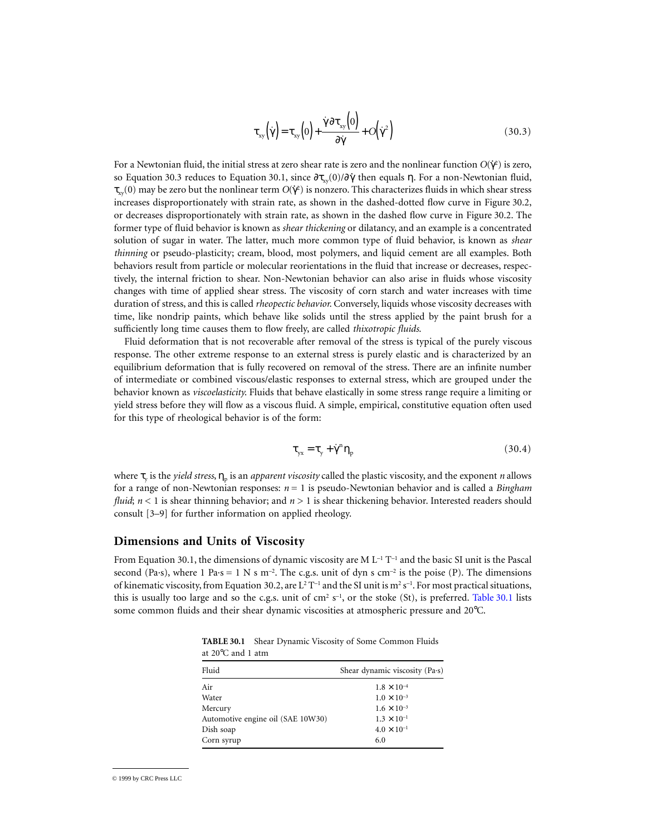$$
\tau_{xy}(\dot{\gamma}) = \tau_{xy}(0) + \frac{\dot{\gamma}\,\partial\tau_{xy}(0)}{\partial\dot{\gamma}} + O(\dot{\gamma}^2)
$$
\n(30.3)

For a Newtonian fluid, the initial stress at zero shear rate is zero and the nonlinear function *O*(• γ2 ) is zero, so Equation 30.3 reduces to Equation 30.1, since  $\partial \tau_{xy}(0)/\partial \dot{\gamma}$  then equals η. For a non-Newtonian fluid,  $\tau_{\rm xy}(0)$  may be zero but the nonlinear term  $O(\dot{\gamma}^2)$  is nonzero. This characterizes fluids in which shear stress increases disproportionately with strain rate, as shown in the dashed-dotted flow curve in Figure 30.2, or decreases disproportionately with strain rate, as shown in the dashed flow curve in Figure 30.2. The former type of fluid behavior is known as *shear thickening* or dilatancy, and an example is a concentrated solution of sugar in water. The latter, much more common type of fluid behavior, is known as *shear thinning* or pseudo-plasticity; cream, blood, most polymers, and liquid cement are all examples. Both behaviors result from particle or molecular reorientations in the fluid that increase or decreases, respectively, the internal friction to shear. Non-Newtonian behavior can also arise in fluids whose viscosity changes with time of applied shear stress. The viscosity of corn starch and water increases with time duration of stress, and this is called *rheopectic behavior*. Conversely, liquids whose viscosity decreases with time, like nondrip paints, which behave like solids until the stress applied by the paint brush for a sufficiently long time causes them to flow freely, are called *thixotropic fluids*.

Fluid deformation that is not recoverable after removal of the stress is typical of the purely viscous response. The other extreme response to an external stress is purely elastic and is characterized by an equilibrium deformation that is fully recovered on removal of the stress. There are an infinite number of intermediate or combined viscous/elastic responses to external stress, which are grouped under the behavior known as *viscoelasticity*. Fluids that behave elastically in some stress range require a limiting or yield stress before they will flow as a viscous fluid. A simple, empirical, constitutive equation often used for this type of rheological behavior is of the form:

$$
\tau_{yx} = \tau_y + \dot{\gamma}^n \eta_p \tag{30.4}
$$

where  $\tau_y$  is the *yield stress*,  $\eta_p$  is an *apparent viscosity* called the plastic viscosity, and the exponent *n* allows for a range of non-Newtonian responses: *n* = 1 is pseudo-Newtonian behavior and is called a *Bingham fluid*;  $n < 1$  is shear thinning behavior; and  $n > 1$  is shear thickening behavior. Interested readers should consult [3–9] for further information on applied rheology.

## **Dimensions and Units of Viscosity**

From Equation 30.1, the dimensions of dynamic viscosity are M  $L^{-1}$  T<sup>-1</sup> and the basic SI unit is the Pascal second (Pa·s), where 1 Pa·s = 1 N s m<sup>-2</sup>. The c.g.s. unit of dyn s cm<sup>-2</sup> is the poise (P). The dimensions of kinematic viscosity, from Equation 30.2, are  $L^2T^{-1}$  and the SI unit is  $m^2 s^{-1}$ . For most practical situations, this is usually too large and so the c.g.s. unit of  $\text{cm}^2$  s<sup>-1</sup>, or the stoke (St), is preferred. Table 30.1 lists some common fluids and their shear dynamic viscosities at atmospheric pressure and 20°C.

| Fluid                             | Shear dynamic viscosity (Pa·s) |  |
|-----------------------------------|--------------------------------|--|
| Air                               | $1.8 \times 10^{-4}$           |  |
| Water                             | $1.0 \times 10^{-3}$           |  |
| Mercury                           | $1.6 \times 10^{-3}$           |  |
| Automotive engine oil (SAE 10W30) | $1.3 \times 10^{-1}$           |  |
| Dish soap                         | $4.0 \times 10^{-1}$           |  |
| Corn syrup                        | 6.0                            |  |

**TABLE 30.1** Shear Dynamic Viscosity of Some Common Fluids at 20°C and 1 atm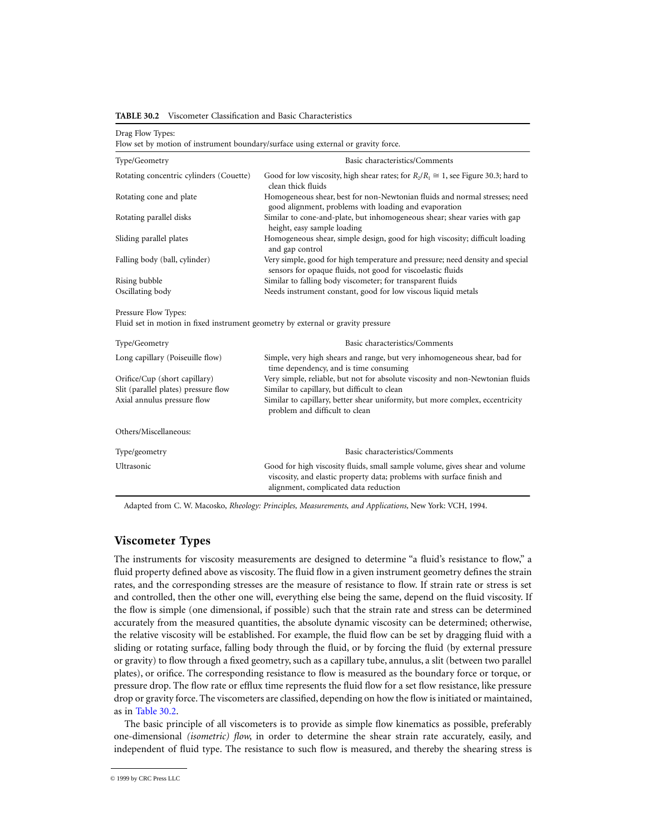| Flow set by motion of instrument boundary/surface using external or gravity force.                       |                                                                                                                                                                                                |
|----------------------------------------------------------------------------------------------------------|------------------------------------------------------------------------------------------------------------------------------------------------------------------------------------------------|
| Type/Geometry                                                                                            | Basic characteristics/Comments                                                                                                                                                                 |
| Rotating concentric cylinders (Couette)                                                                  | Good for low viscosity, high shear rates; for $R_2/R_1 \cong 1$ , see Figure 30.3; hard to<br>clean thick fluids                                                                               |
| Rotating cone and plate                                                                                  | Homogeneous shear, best for non-Newtonian fluids and normal stresses; need<br>good alignment, problems with loading and evaporation                                                            |
| Rotating parallel disks                                                                                  | Similar to cone-and-plate, but inhomogeneous shear; shear varies with gap<br>height, easy sample loading                                                                                       |
| Sliding parallel plates                                                                                  | Homogeneous shear, simple design, good for high viscosity; difficult loading<br>and gap control                                                                                                |
| Falling body (ball, cylinder)                                                                            | Very simple, good for high temperature and pressure; need density and special<br>sensors for opaque fluids, not good for viscoelastic fluids                                                   |
| Rising bubble                                                                                            | Similar to falling body viscometer; for transparent fluids                                                                                                                                     |
| Oscillating body                                                                                         | Needs instrument constant, good for low viscous liquid metals                                                                                                                                  |
| Pressure Flow Types:<br>Fluid set in motion in fixed instrument geometry by external or gravity pressure |                                                                                                                                                                                                |
| Type/Geometry                                                                                            | Basic characteristics/Comments                                                                                                                                                                 |
| Long capillary (Poiseuille flow)                                                                         | Simple, very high shears and range, but very inhomogeneous shear, bad for<br>time dependency, and is time consuming                                                                            |
| Orifice/Cup (short capillary)<br>Slit (parallel plates) pressure flow                                    | Very simple, reliable, but not for absolute viscosity and non-Newtonian fluids<br>Similar to capillary, but difficult to clean                                                                 |
| Axial annulus pressure flow                                                                              | Similar to capillary, better shear uniformity, but more complex, eccentricity<br>problem and difficult to clean                                                                                |
| Others/Miscellaneous:                                                                                    |                                                                                                                                                                                                |
| Type/geometry                                                                                            | Basic characteristics/Comments                                                                                                                                                                 |
| Ultrasonic                                                                                               | Good for high viscosity fluids, small sample volume, gives shear and volume<br>viscosity, and elastic property data; problems with surface finish and<br>alignment, complicated data reduction |

#### **TABLE 30.2** Viscometer Classification and Basic Characteristics

Drag Flow Types:

Adapted from C. W. Macosko, *Rheology: Principles, Measurements, and Applications,* New York: VCH, 1994.

## **Viscometer Types**

The instruments for viscosity measurements are designed to determine "a fluid's resistance to flow," a fluid property defined above as viscosity. The fluid flow in a given instrument geometry defines the strain rates, and the corresponding stresses are the measure of resistance to flow. If strain rate or stress is set and controlled, then the other one will, everything else being the same, depend on the fluid viscosity. If the flow is simple (one dimensional, if possible) such that the strain rate and stress can be determined accurately from the measured quantities, the absolute dynamic viscosity can be determined; otherwise, the relative viscosity will be established. For example, the fluid flow can be set by dragging fluid with a sliding or rotating surface, falling body through the fluid, or by forcing the fluid (by external pressure or gravity) to flow through a fixed geometry, such as a capillary tube, annulus, a slit (between two parallel plates), or orifice. The corresponding resistance to flow is measured as the boundary force or torque, or pressure drop. The flow rate or efflux time represents the fluid flow for a set flow resistance, like pressure drop or gravity force. The viscometers are classified, depending on how the flow is initiated or maintained, as in Table 30.2.

The basic principle of all viscometers is to provide as simple flow kinematics as possible, preferably one-dimensional *(isometric) flow*, in order to determine the shear strain rate accurately, easily, and independent of fluid type. The resistance to such flow is measured, and thereby the shearing stress is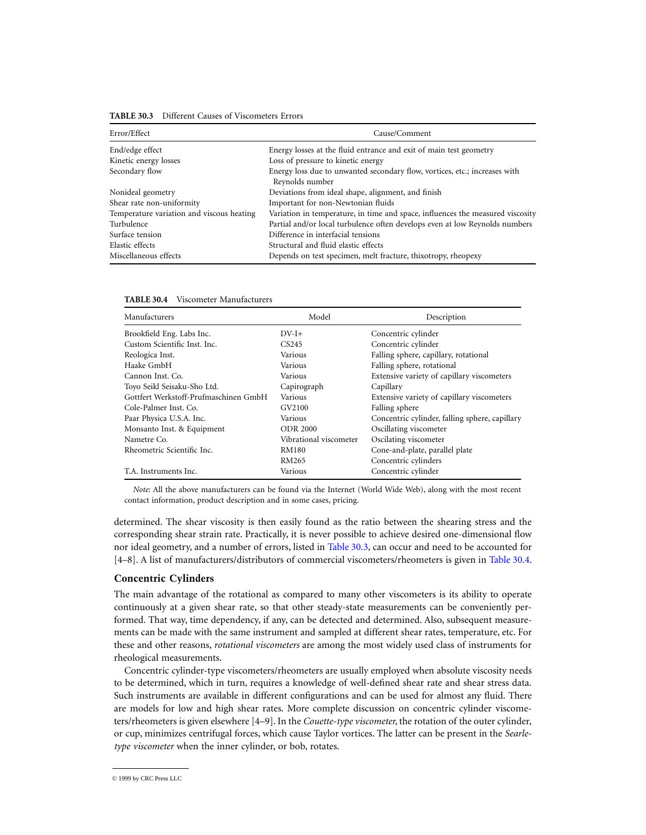| Error/Effect                              | Cause/Comment                                                                                 |
|-------------------------------------------|-----------------------------------------------------------------------------------------------|
| End/edge effect                           | Energy losses at the fluid entrance and exit of main test geometry                            |
| Kinetic energy losses                     | Loss of pressure to kinetic energy                                                            |
| Secondary flow                            | Energy loss due to unwanted secondary flow, vortices, etc.; increases with<br>Reynolds number |
| Nonideal geometry                         | Deviations from ideal shape, alignment, and finish                                            |
| Shear rate non-uniformity                 | Important for non-Newtonian fluids                                                            |
| Temperature variation and viscous heating | Variation in temperature, in time and space, influences the measured viscosity                |
| Turbulence                                | Partial and/or local turbulence often develops even at low Reynolds numbers                   |
| Surface tension                           | Difference in interfacial tensions                                                            |
| Elastic effects                           | Structural and fluid elastic effects                                                          |
| Miscellaneous effects                     | Depends on test specimen, melt fracture, thixotropy, rheopexy                                 |

|  |  | <b>TABLE 30.3</b> Different Causes of Viscometers Errors |
|--|--|----------------------------------------------------------|
|--|--|----------------------------------------------------------|

| Manufacturers                         | Model                  | Description                                    |
|---------------------------------------|------------------------|------------------------------------------------|
| Brookfield Eng. Labs Inc.             | $DV-I+$                | Concentric cylinder                            |
| Custom Scientific Inst. Inc.          | CS245                  | Concentric cylinder                            |
| Reologica Inst.                       | Various                | Falling sphere, capillary, rotational          |
| Haake GmbH                            | Various                | Falling sphere, rotational                     |
| Cannon Inst. Co.                      | Various                | Extensive variety of capillary viscometers     |
| Toyo Seikl Seisaku-Sho Ltd.           | Capirograph            | Capillary                                      |
| Gottfert Werkstoff-Prufmaschinen GmbH | Various                | Extensive variety of capillary viscometers     |
| Cole-Palmer Inst. Co.                 | GV2100                 | Falling sphere                                 |
| Paar Physica U.S.A. Inc.              | Various                | Concentric cylinder, falling sphere, capillary |
| Monsanto Inst. & Equipment            | <b>ODR 2000</b>        | Oscillating viscometer                         |
| Nametre Co.                           | Vibrational viscometer | Oscilating viscometer                          |
| Rheometric Scientific Inc.            | RM180                  | Cone-and-plate, parallel plate                 |
|                                       | RM265                  | Concentric cylinders                           |
| T.A. Instruments Inc.                 | Various                | Concentric cylinder                            |

| <b>TABLE 30.4</b> | Viscometer Manufacturers |
|-------------------|--------------------------|
|-------------------|--------------------------|

*Note:* All the above manufacturers can be found via the Internet (World Wide Web), along with the most recent contact information, product description and in some cases, pricing.

determined. The shear viscosity is then easily found as the ratio between the shearing stress and the corresponding shear strain rate. Practically, it is never possible to achieve desired one-dimensional flow nor ideal geometry, and a number of errors, listed in Table 30.3, can occur and need to be accounted for [4–8]. A list of manufacturers/distributors of commercial viscometers/rheometers is given in Table 30.4.

#### **Concentric Cylinders**

The main advantage of the rotational as compared to many other viscometers is its ability to operate continuously at a given shear rate, so that other steady-state measurements can be conveniently performed. That way, time dependency, if any, can be detected and determined. Also, subsequent measurements can be made with the same instrument and sampled at different shear rates, temperature, etc. For these and other reasons, *rotational viscometers* are among the most widely used class of instruments for rheological measurements.

Concentric cylinder-type viscometers/rheometers are usually employed when absolute viscosity needs to be determined, which in turn, requires a knowledge of well-defined shear rate and shear stress data. Such instruments are available in different configurations and can be used for almost any fluid. There are models for low and high shear rates. More complete discussion on concentric cylinder viscometers/rheometers is given elsewhere [4–9]. In the *Couette-type viscometer*, the rotation of the outer cylinder, or cup, minimizes centrifugal forces, which cause Taylor vortices. The latter can be present in the *Searletype viscometer* when the inner cylinder, or bob, rotates.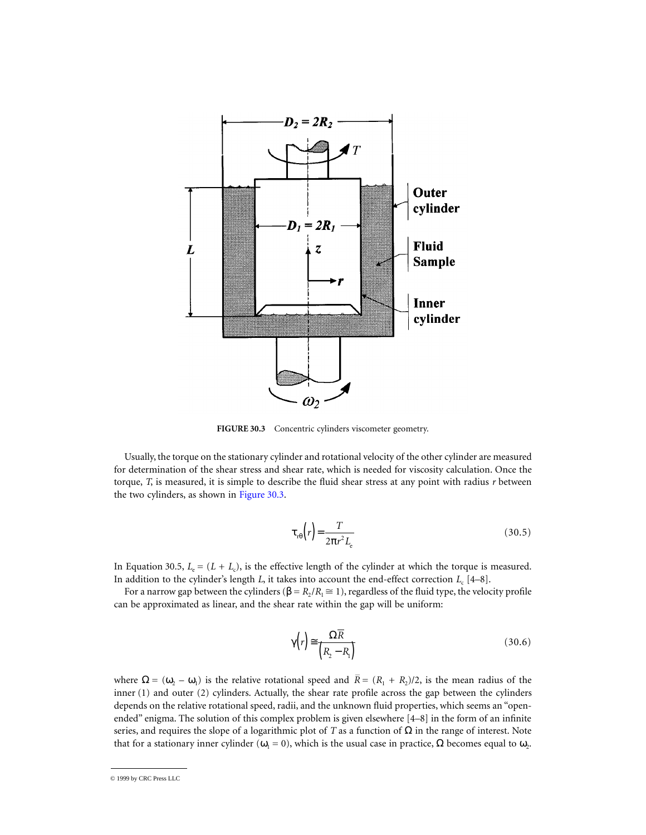

**FIGURE 30.3** Concentric cylinders viscometer geometry.

Usually, the torque on the stationary cylinder and rotational velocity of the other cylinder are measured for determination of the shear stress and shear rate, which is needed for viscosity calculation. Once the torque, *T*, is measured, it is simple to describe the fluid shear stress at any point with radius *r* between the two cylinders, as shown in Figure 30.3.

$$
\tau_{\rm r0}(r) = \frac{T}{2\pi r^2 L_{\rm e}}\tag{30.5}
$$

In Equation 30.5,  $L_e = (L + L_c)$ , is the effective length of the cylinder at which the torque is measured. In addition to the cylinder's length *L*, it takes into account the end-effect correction  $L_c$  [4–8].

For a narrow gap between the cylinders ( $\beta = R_2/R_1 \cong 1$ ), regardless of the fluid type, the velocity profile can be approximated as linear, and the shear rate within the gap will be uniform:

$$
\gamma(r) \approx \frac{\Omega \overline{R}}{\left(R_2 - R_1\right)}\tag{30.6}
$$

where  $\Omega = (\omega_2 - \omega_1)$  is the relative rotational speed and  $\bar{R} = (R_1 + R_2)/2$ , is the mean radius of the inner (1) and outer (2) cylinders. Actually, the shear rate profile across the gap between the cylinders depends on the relative rotational speed, radii, and the unknown fluid properties, which seems an "openended" enigma. The solution of this complex problem is given elsewhere [4–8] in the form of an infinite series, and requires the slope of a logarithmic plot of *T* as a function of  $\Omega$  in the range of interest. Note that for a stationary inner cylinder ( $ω_1 = 0$ ), which is the usual case in practice,  $Ω$  becomes equal to  $ω_2$ .

<sup>© 1999</sup> by CRC Press LLC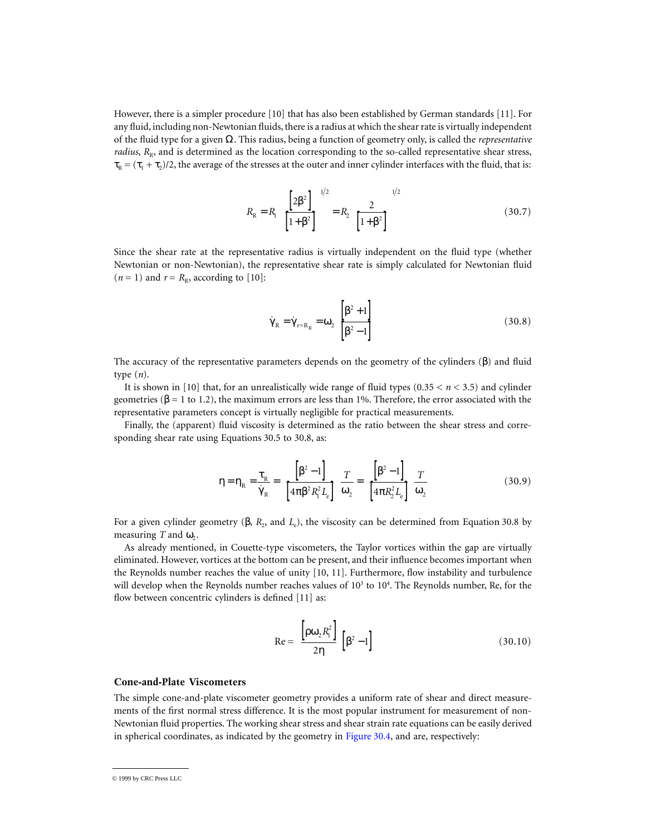However, there is a simpler procedure [10] that has also been established by German standards [11]. For any fluid, including non-Newtonian fluids, there is a radius at which the shear rate is virtually independent of the fluid type for a given Ω. This radius, being a function of geometry only, is called the *representative radius*,  $R_{\rm R}$ , and is determined as the location corresponding to the so-called representative shear stress,  $\tau_R = (\tau_1 + \tau_2)/2$ , the average of the stresses at the outer and inner cylinder interfaces with the fluid, that is:

$$
R_{\rm R} = R_{\rm I} \left\{ \frac{\left[2\beta^2\right]}{\left[1+\beta^2\right]} \right\}^{1/2} = R_{\rm 2} \left\{ \frac{2}{\left[1+\beta^2\right]} \right\}^{1/2} \tag{30.7}
$$

Since the shear rate at the representative radius is virtually independent on the fluid type (whether Newtonian or non-Newtonian), the representative shear rate is simply calculated for Newtonian fluid  $(n=1)$  and  $r = R<sub>R</sub>$ , according to [10]:

$$
\dot{\gamma}_{R} = \dot{\gamma}_{r=R_{R}} = \omega_{2} \left\{ \begin{bmatrix} \beta^{2} + 1\\ \beta^{2} - 1 \end{bmatrix} \right\}
$$
\n(30.8)

The accuracy of the representative parameters depends on the geometry of the cylinders  $(\beta)$  and fluid type (*n*).

It is shown in [10] that, for an unrealistically wide range of fluid types (0.35 < *n* < 3.5) and cylinder geometries ( $\beta$  = 1 to 1.2), the maximum errors are less than 1%. Therefore, the error associated with the representative parameters concept is virtually negligible for practical measurements.

Finally, the (apparent) fluid viscosity is determined as the ratio between the shear stress and corresponding shear rate using Equations 30.5 to 30.8, as:

$$
\eta = \eta_{\rm R} = \frac{\tau_{\rm R}}{\dot{\gamma}_{\rm R}} = \left\{ \frac{\left[\beta^2 - 1\right]}{\left[4\pi\beta^2 R_{\rm L}^2 L_{\rm e}\right]} \right\} \frac{T}{\omega_2} = \left\{ \frac{\left[\beta^2 - 1\right]}{\left[4\pi R_2^2 L_{\rm e}\right]} \right\} \frac{T}{\omega_2} \tag{30.9}
$$

For a given cylinder geometry ( $\beta$ ,  $R_2$ , and  $L_e$ ), the viscosity can be determined from Equation 30.8 by measuring *T* and  $\omega$ <sub>2</sub>.

As already mentioned, in Couette-type viscometers, the Taylor vortices within the gap are virtually eliminated. However, vortices at the bottom can be present, and their influence becomes important when the Reynolds number reaches the value of unity [10, 11]. Furthermore, flow instability and turbulence will develop when the Reynolds number reaches values of  $10^3$  to  $10^4$ . The Reynolds number, Re, for the flow between concentric cylinders is defined [11] as:

$$
\text{Re} = \left\{ \frac{\left[ \rho \omega_2 R_1^2 \right]}{2\eta} \right\} \left[ \beta^2 - 1 \right] \tag{30.10}
$$

#### **Cone-and-Plate Viscometers**

The simple cone-and-plate viscometer geometry provides a uniform rate of shear and direct measurements of the first normal stress difference. It is the most popular instrument for measurement of non-Newtonian fluid properties. The working shear stress and shear strain rate equations can be easily derived in spherical coordinates, as indicated by the geometry in [Figure 30.4, a](#page-9-0)nd are, respectively:

<sup>© 1999</sup> by CRC Press LLC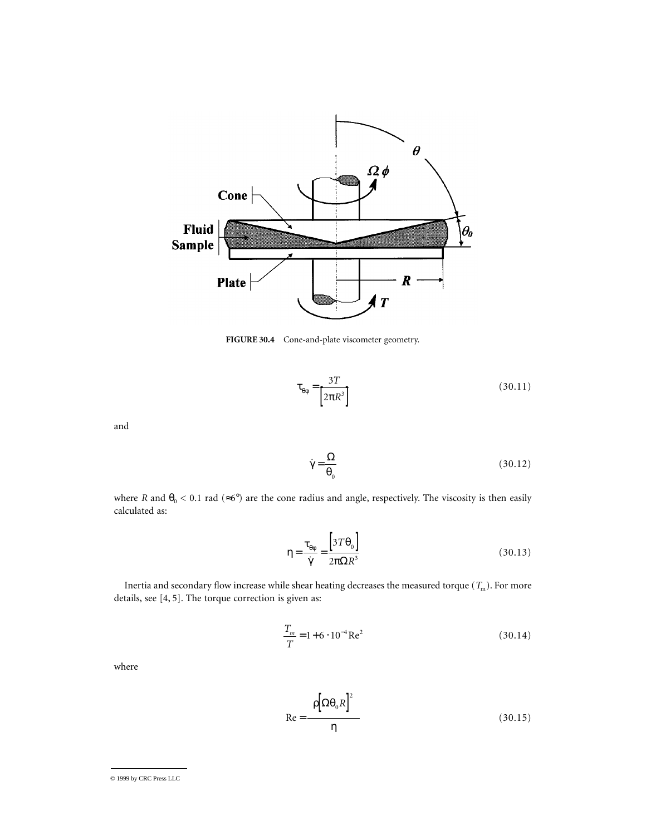<span id="page-9-0"></span>

**FIGURE 30.4** Cone-and-plate viscometer geometry.

$$
\tau_{\theta\phi} = \frac{3T}{\left[2\pi R^3\right]}
$$
\n(30.11)

and

$$
\dot{\gamma} = \frac{\Omega}{\theta_0} \tag{30.12}
$$

where *R* and  $\theta_0 < 0.1$  rad (≈6°) are the cone radius and angle, respectively. The viscosity is then easily calculated as:

$$
\eta = \frac{\tau_{\theta\phi}}{\dot{\gamma}} = \frac{\left[3T\theta_0\right]}{2\pi\Omega R^3}
$$
\n(30.13)

Inertia and secondary flow increase while shear heating decreases the measured torque  $(T_{\text{m}})$ . For more details, see [4, 5]. The torque correction is given as:

$$
\frac{T_m}{T} = 1 + 6 \cdot 10^{-4} \text{Re}^2 \tag{30.14}
$$

where

$$
\text{Re} = \frac{\left\{ \rho \left[ \Omega \Theta_0 R \right]^2 \right\}}{\eta} \tag{30.15}
$$

<sup>© 1999</sup> by CRC Press LLC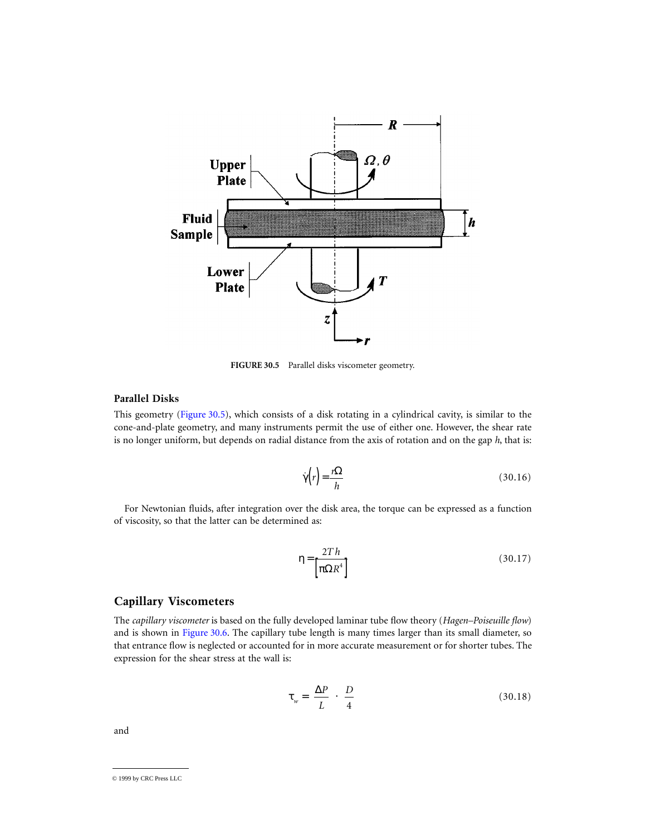

**FIGURE 30.5** Parallel disks viscometer geometry.

#### **Parallel Disks**

This geometry (Figure 30.5), which consists of a disk rotating in a cylindrical cavity, is similar to the cone-and-plate geometry, and many instruments permit the use of either one. However, the shear rate is no longer uniform, but depends on radial distance from the axis of rotation and on the gap *h*, that is:

$$
\dot{\gamma}(r) = \frac{r\Omega}{h} \tag{30.16}
$$

For Newtonian fluids, after integration over the disk area, the torque can be expressed as a function of viscosity, so that the latter can be determined as:

$$
\eta = \frac{2Th}{\left[\pi \Omega R^4\right]}
$$
\n(30.17)

#### **Capillary Viscometers**

The *capillary viscometer* is based on the fully developed laminar tube flow theory (*Hagen–Poiseuille flow*) and is shown in [Figure 30.6.](#page-11-0) The capillary tube length is many times larger than its small diameter, so that entrance flow is neglected or accounted for in more accurate measurement or for shorter tubes. The expression for the shear stress at the wall is:

$$
\tau_w = \left[\frac{\Delta P}{L}\right] \cdot \left[\frac{D}{4}\right] \tag{30.18}
$$

and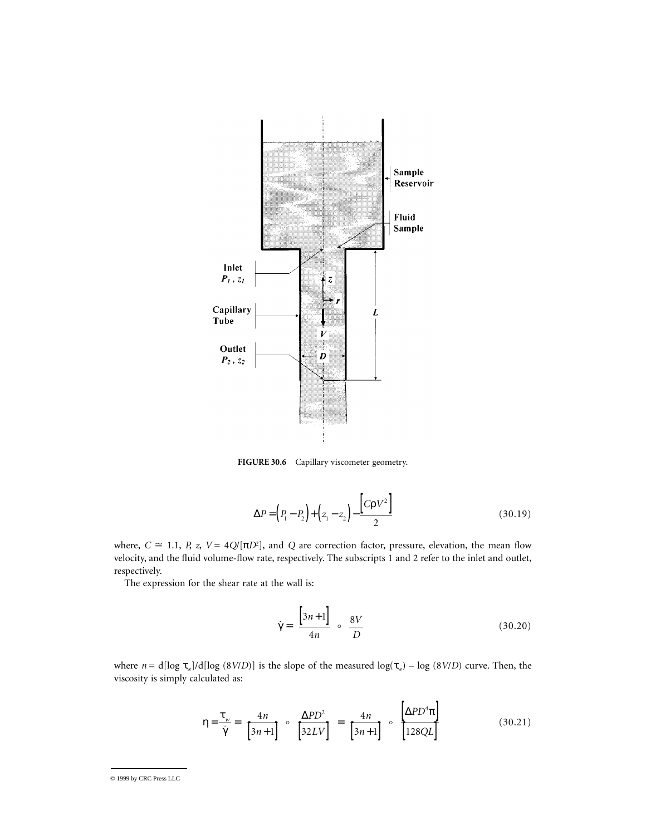<span id="page-11-0"></span>

FIGURE 30.6 Capillary viscometer geometry.

$$
\Delta P = (P_1 - P_2) + (z_1 - z_2) - \frac{[C\rho V^2]}{2}
$$
\n(30.19)

where,  $C \cong 1.1$ , *P*, *z*,  $V = 4Q/[ \pi D^2]$ , and *Q* are correction factor, pressure, elevation, the mean flow velocity, and the fluid volume-flow rate, respectively. The subscripts 1 and 2 refer to the inlet and outlet, respectively.

The expression for the shear rate at the wall is:

$$
\dot{\gamma} = \left\{ \frac{\begin{bmatrix} 3n+1 \end{bmatrix}}{4n} \right\} \circ \left\{ \frac{8V}{D} \right\} \tag{30.20}
$$

where  $n = d[\log \tau_w]/d[\log (8V/D)]$  is the slope of the measured  $\log(\tau_w) - \log (8V/D)$  curve. Then, the viscosity is simply calculated as:

$$
\eta = \frac{\tau_w}{\dot{\gamma}} = \left\{ \frac{4n}{[3n+1]} \right\} \circ \left\{ \frac{\Delta PD^2}{[32LV]} \right\} = \left\{ \frac{4n}{[3n+1]} \right\} \circ \left\{ \frac{\Delta PD^4 \pi}{[128QL]} \right\} \tag{30.21}
$$

<sup>© 1999</sup> by CRC Press LLC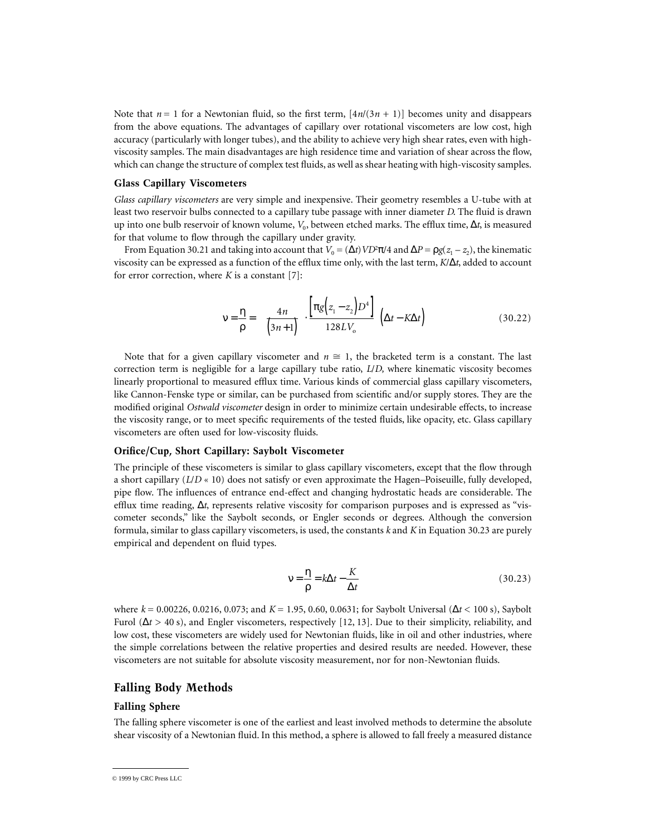Note that  $n = 1$  for a Newtonian fluid, so the first term,  $[4n/(3n + 1)]$  becomes unity and disappears from the above equations. The advantages of capillary over rotational viscometers are low cost, high accuracy (particularly with longer tubes), and the ability to achieve very high shear rates, even with highviscosity samples. The main disadvantages are high residence time and variation of shear across the flow, which can change the structure of complex test fluids, as well as shear heating with high-viscosity samples.

#### **Glass Capillary Viscometers**

*Glass capillary viscometers* are very simple and inexpensive. Their geometry resembles a U-tube with at least two reservoir bulbs connected to a capillary tube passage with inner diameter *D*. The fluid is drawn up into one bulb reservoir of known volume, *V*<sub>0</sub>, between etched marks. The efflux time, Δ*t*, is measured for that volume to flow through the capillary under gravity*.*

From Equation 30.21 and taking into account that  $V_0 = (\Delta t) V D^2 \pi/4$  and  $\Delta P = \rho g(z_1 - z_2)$ , the kinematic viscosity can be expressed as a function of the efflux time only, with the last term, *K*/∆*t*, added to account for error correction, where *K* is a constant [7]:

$$
\mathbf{v} = \frac{\eta}{\rho} = \left\{ \left[ \frac{4n}{(3n+1)} \right] \cdot \frac{\left[ \pi g \left( z_1 - z_2 \right) D^4 \right]}{128 L V_o} \right\} \left( \Delta t - K \Delta t \right) \tag{30.22}
$$

Note that for a given capillary viscometer and  $n \approx 1$ , the bracketed term is a constant. The last correction term is negligible for a large capillary tube ratio, *L*/*D,* where kinematic viscosity becomes linearly proportional to measured efflux time. Various kinds of commercial glass capillary viscometers, like Cannon-Fenske type or similar, can be purchased from scientific and/or supply stores. They are the modified original *Ostwald viscometer* design in order to minimize certain undesirable effects, to increase the viscosity range, or to meet specific requirements of the tested fluids, like opacity, etc. Glass capillary viscometers are often used for low-viscosity fluids.

#### **Orifice/Cup, Short Capillary: Saybolt Viscometer**

The principle of these viscometers is similar to glass capillary viscometers, except that the flow through a short capillary (*L*/*D* « 10) does not satisfy or even approximate the Hagen–Poiseuille, fully developed, pipe flow. The influences of entrance end-effect and changing hydrostatic heads are considerable. The efflux time reading, ∆*t*, represents relative viscosity for comparison purposes and is expressed as "viscometer seconds," like the Saybolt seconds, or Engler seconds or degrees. Although the conversion formula, similar to glass capillary viscometers, is used, the constants *k* and *K* in Equation 30.23 are purely empirical and dependent on fluid types.

$$
v = \frac{\eta}{\rho} = k\Delta t - \frac{K}{\Delta t}
$$
 (30.23)

where *k* = 0.00226, 0.0216, 0.073; and *K* = 1.95, 0.60, 0.0631; for Saybolt Universal (∆*t* < 100 s), Saybolt Furol (∆*t* > 40 s), and Engler viscometers, respectively [12, 13]. Due to their simplicity, reliability, and low cost, these viscometers are widely used for Newtonian fluids, like in oil and other industries, where the simple correlations between the relative properties and desired results are needed. However, these viscometers are not suitable for absolute viscosity measurement, nor for non-Newtonian fluids.

## **Falling Body Methods**

#### **Falling Sphere**

The falling sphere viscometer is one of the earliest and least involved methods to determine the absolute shear viscosity of a Newtonian fluid. In this method, a sphere is allowed to fall freely a measured distance

<sup>© 1999</sup> by CRC Press LLC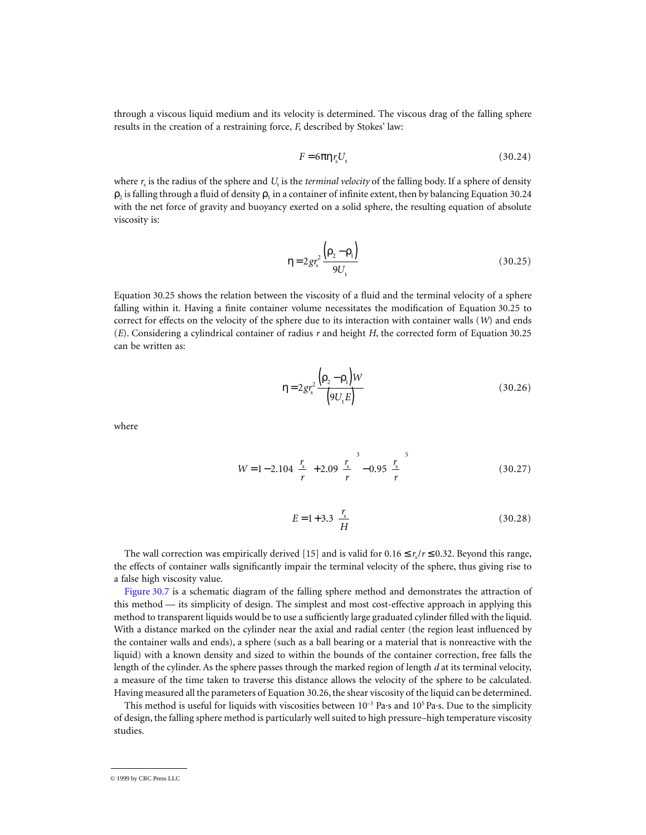through a viscous liquid medium and its velocity is determined. The viscous drag of the falling sphere results in the creation of a restraining force, *F*, described by Stokes' law:

$$
F = 6\pi \eta r_s U_t \tag{30.24}
$$

where  $r_{\rm s}$  is the radius of the sphere and  $U_{\rm t}$  is the *terminal velocity* of the falling body. If a sphere of density  $ρ$ , is falling through a fluid of density  $ρ_1$  in a container of infinite extent, then by balancing Equation 30.24 with the net force of gravity and buoyancy exerted on a solid sphere, the resulting equation of absolute viscosity is:

$$
\eta = 2g r_s^2 \frac{\left(\rho_2 - \rho_1\right)}{9U_t} \tag{30.25}
$$

Equation 30.25 shows the relation between the viscosity of a fluid and the terminal velocity of a sphere falling within it. Having a finite container volume necessitates the modification of Equation 30.25 to correct for effects on the velocity of the sphere due to its interaction with container walls (*W*) and ends (*E*). Considering a cylindrical container of radius *r* and height *H*, the corrected form of Equation 30.25 can be written as:

$$
\eta = 2gr_s^2 \frac{\left(\rho_2 - \rho_1\right)W}{\left(9U_t E\right)}\tag{30.26}
$$

where

$$
W = 1 - 2.104 \left(\frac{r_s}{r}\right) + 2.09 \left(\frac{r_s}{r}\right)^3 - 0.95 \left(\frac{r_s}{r}\right)^5 \tag{30.27}
$$

$$
E = 1 + 3.3 \left(\frac{r_s}{H}\right) \tag{30.28}
$$

The wall correction was empirically derived [15] and is valid for  $0.16 \le r_s/r \le 0.32$ . Beyond this range, the effects of container walls significantly impair the terminal velocity of the sphere, thus giving rise to a false high viscosity value.

[Figure 30.7 is](#page-14-0) a schematic diagram of the falling sphere method and demonstrates the attraction of this method — its simplicity of design. The simplest and most cost-effective approach in applying this method to transparent liquids would be to use a sufficiently large graduated cylinder filled with the liquid. With a distance marked on the cylinder near the axial and radial center (the region least influenced by the container walls and ends), a sphere (such as a ball bearing or a material that is nonreactive with the liquid) with a known density and sized to within the bounds of the container correction, free falls the length of the cylinder. As the sphere passes through the marked region of length *d* at its terminal velocity, a measure of the time taken to traverse this distance allows the velocity of the sphere to be calculated. Having measured all the parameters of Equation 30.26, the shear viscosity of the liquid can be determined.

This method is useful for liquids with viscosities between  $10^{-3}$  Pa·s and  $10^{5}$  Pa·s. Due to the simplicity of design, the falling sphere method is particularly well suited to high pressure–high temperature viscosity studies.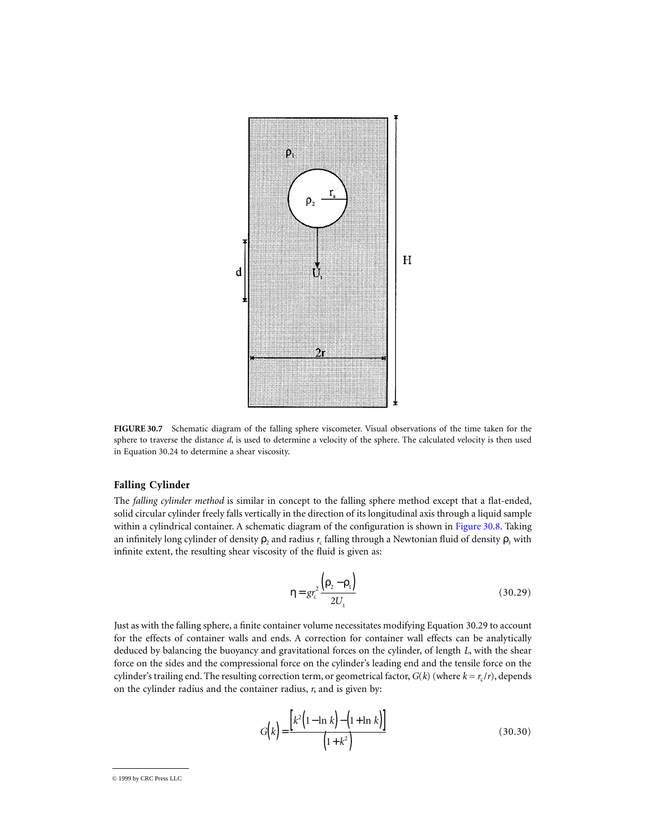<span id="page-14-0"></span>

**FIGURE 30.7** Schematic diagram of the falling sphere viscometer. Visual observations of the time taken for the sphere to traverse the distance *d*, is used to determine a velocity of the sphere. The calculated velocity is then used in Equation 30.24 to determine a shear viscosity.

## **Falling Cylinder**

The *falling cylinder method* is similar in concept to the falling sphere method except that a flat-ended, solid circular cylinder freely falls vertically in the direction of its longitudinal axis through a liquid sample within a cylindrical container. A schematic diagram of the configuration is shown in [Figure 30.8.](#page-15-0) Taking an infinitely long cylinder of density  $\rho$ , and radius  $r_c$  falling through a Newtonian fluid of density  $\rho_1$  with infinite extent, the resulting shear viscosity of the fluid is given as:

$$
\eta = gr_c^2 \frac{\left(\rho_2 - \rho_1\right)}{2U_t} \tag{30.29}
$$

Just as with the falling sphere, a finite container volume necessitates modifying Equation 30.29 to account for the effects of container walls and ends. A correction for container wall effects can be analytically deduced by balancing the buoyancy and gravitational forces on the cylinder, of length *L*, with the shear force on the sides and the compressional force on the cylinder's leading end and the tensile force on the cylinder's trailing end. The resulting correction term, or geometrical factor,  $G(k)$  (where  $k = r_c / r$ ), depends on the cylinder radius and the container radius, *r*, and is given by:

$$
G(k) = \frac{\left[k^2\left(1 - \ln k\right) - \left(1 + \ln k\right)\right]}{\left(1 + k^2\right)}
$$
(30.30)

<sup>© 1999</sup> by CRC Press LLC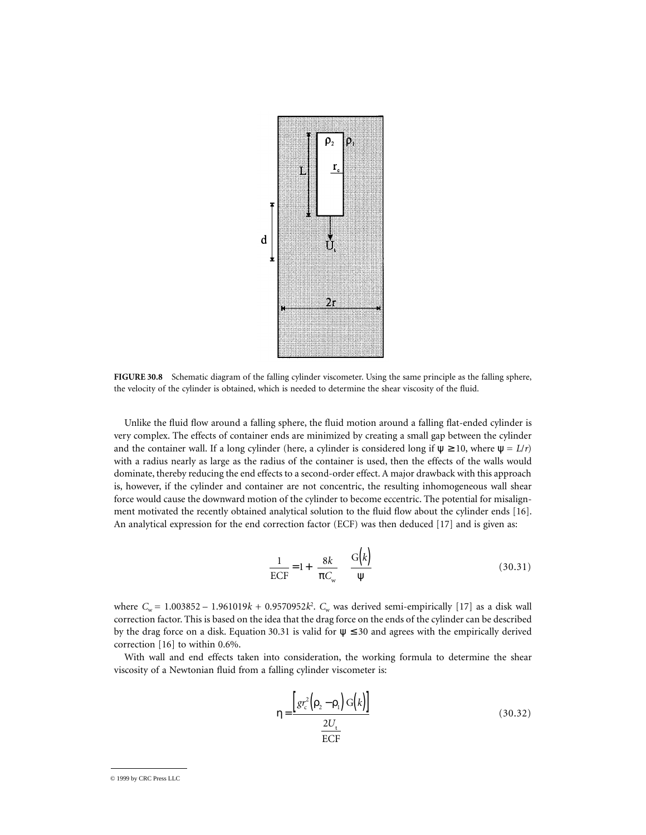<span id="page-15-0"></span>

**FIGURE 30.8** Schematic diagram of the falling cylinder viscometer. Using the same principle as the falling sphere, the velocity of the cylinder is obtained, which is needed to determine the shear viscosity of the fluid.

Unlike the fluid flow around a falling sphere, the fluid motion around a falling flat-ended cylinder is very complex. The effects of container ends are minimized by creating a small gap between the cylinder and the container wall. If a long cylinder (here, a cylinder is considered long if  $\psi \ge 10$ , where  $\psi = L/r$ ) with a radius nearly as large as the radius of the container is used, then the effects of the walls would dominate, thereby reducing the end effects to a second-order effect. A major drawback with this approach is, however, if the cylinder and container are not concentric, the resulting inhomogeneous wall shear force would cause the downward motion of the cylinder to become eccentric. The potential for misalignment motivated the recently obtained analytical solution to the fluid flow about the cylinder ends [16]. An analytical expression for the end correction factor (ECF) was then deduced [17] and is given as:

$$
\frac{1}{\text{ECF}} = 1 + \left(\frac{8k}{\pi C_{\text{w}}} \right) \left(\frac{G(k)}{\Psi} \right) \tag{30.31}
$$

where *C*w = 1.003852 – 1.961019*k* + 0.9570952*k*<sup>2</sup> . *C*w was derived semi-empirically [17] as a disk wall correction factor. This is based on the idea that the drag force on the ends of the cylinder can be described by the drag force on a disk. Equation 30.31 is valid for  $\psi \leq 30$  and agrees with the empirically derived correction [16] to within 0.6%.

With wall and end effects taken into consideration, the working formula to determine the shear viscosity of a Newtonian fluid from a falling cylinder viscometer is:

$$
\eta = \frac{\left[gr_c^2(\rho_2 - \rho_1) G(k)\right]}{\left(\frac{2U_t}{\text{ECF}}\right)}
$$
(30.32)

<sup>© 1999</sup> by CRC Press LLC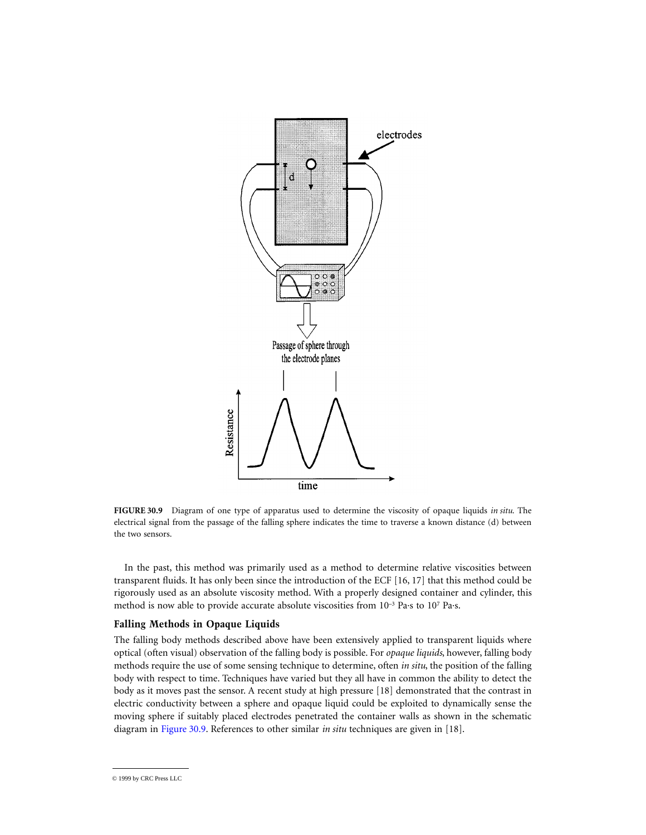

**FIGURE 30.9** Diagram of one type of apparatus used to determine the viscosity of opaque liquids *in situ*. The electrical signal from the passage of the falling sphere indicates the time to traverse a known distance (d) between the two sensors.

In the past, this method was primarily used as a method to determine relative viscosities between transparent fluids. It has only been since the introduction of the ECF [16, 17] that this method could be rigorously used as an absolute viscosity method. With a properly designed container and cylinder, this method is now able to provide accurate absolute viscosities from  $10^{-3}$  Pa·s to  $10^{7}$  Pa·s.

#### **Falling Methods in Opaque Liquids**

The falling body methods described above have been extensively applied to transparent liquids where optical (often visual) observation of the falling body is possible. For *opaque liquids*, however, falling body methods require the use of some sensing technique to determine, often *in situ*, the position of the falling body with respect to time. Techniques have varied but they all have in common the ability to detect the body as it moves past the sensor. A recent study at high pressure [18] demonstrated that the contrast in electric conductivity between a sphere and opaque liquid could be exploited to dynamically sense the moving sphere if suitably placed electrodes penetrated the container walls as shown in the schematic diagram in Figure 30.9. References to other similar *in situ* techniques are given in [18].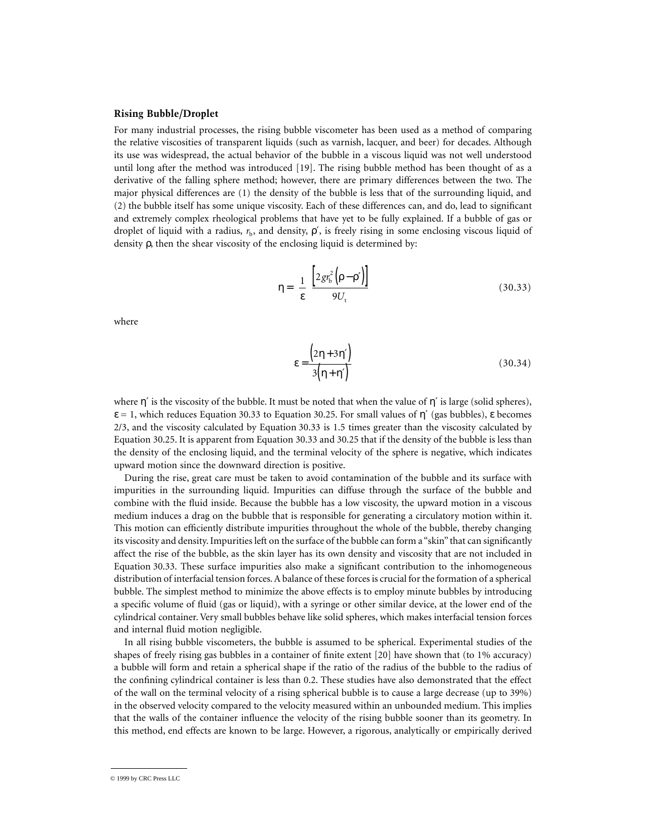#### **Rising Bubble/Droplet**

For many industrial processes, the rising bubble viscometer has been used as a method of comparing the relative viscosities of transparent liquids (such as varnish, lacquer, and beer) for decades. Although its use was widespread, the actual behavior of the bubble in a viscous liquid was not well understood until long after the method was introduced [19]. The rising bubble method has been thought of as a derivative of the falling sphere method; however, there are primary differences between the two. The major physical differences are (1) the density of the bubble is less that of the surrounding liquid, and (2) the bubble itself has some unique viscosity. Each of these differences can, and do, lead to significant and extremely complex rheological problems that have yet to be fully explained. If a bubble of gas or droplet of liquid with a radius,  $r_b$ , and density,  $\rho'$ , is freely rising in some enclosing viscous liquid of density ρ, then the shear viscosity of the enclosing liquid is determined by:

$$
\eta = \left(\frac{1}{\varepsilon}\right) \frac{\left[2gr_b^2\left(\rho - \rho'\right)\right]}{9U_t} \tag{30.33}
$$

where

$$
\varepsilon = \frac{\left(2\eta + 3\eta'\right)}{3\left(\eta + \eta'\right)}\tag{30.34}
$$

where η′ is the viscosity of the bubble. It must be noted that when the value of η′ is large (solid spheres),  $\varepsilon$  = 1, which reduces Equation 30.33 to Equation 30.25. For small values of  $\eta'$  (gas bubbles),  $\varepsilon$  becomes 2/3, and the viscosity calculated by Equation 30.33 is 1.5 times greater than the viscosity calculated by Equation 30.25. It is apparent from Equation 30.33 and 30.25 that if the density of the bubble is less than the density of the enclosing liquid, and the terminal velocity of the sphere is negative, which indicates upward motion since the downward direction is positive.

During the rise, great care must be taken to avoid contamination of the bubble and its surface with impurities in the surrounding liquid. Impurities can diffuse through the surface of the bubble and combine with the fluid inside. Because the bubble has a low viscosity, the upward motion in a viscous medium induces a drag on the bubble that is responsible for generating a circulatory motion within it. This motion can efficiently distribute impurities throughout the whole of the bubble, thereby changing its viscosity and density. Impurities left on the surface of the bubble can form a "skin" that can significantly affect the rise of the bubble, as the skin layer has its own density and viscosity that are not included in Equation 30.33. These surface impurities also make a significant contribution to the inhomogeneous distribution of interfacial tension forces. A balance of these forces is crucial for the formation of a spherical bubble. The simplest method to minimize the above effects is to employ minute bubbles by introducing a specific volume of fluid (gas or liquid), with a syringe or other similar device, at the lower end of the cylindrical container. Very small bubbles behave like solid spheres, which makes interfacial tension forces and internal fluid motion negligible.

In all rising bubble viscometers, the bubble is assumed to be spherical. Experimental studies of the shapes of freely rising gas bubbles in a container of finite extent [20] have shown that (to 1% accuracy) a bubble will form and retain a spherical shape if the ratio of the radius of the bubble to the radius of the confining cylindrical container is less than 0.2. These studies have also demonstrated that the effect of the wall on the terminal velocity of a rising spherical bubble is to cause a large decrease (up to 39%) in the observed velocity compared to the velocity measured within an unbounded medium. This implies that the walls of the container influence the velocity of the rising bubble sooner than its geometry. In this method, end effects are known to be large. However, a rigorous, analytically or empirically derived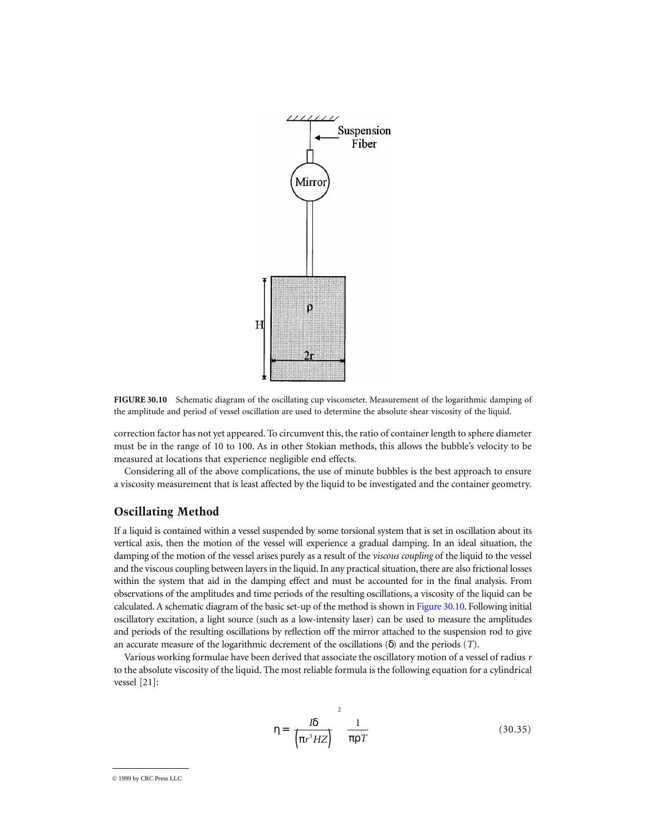

**FIGURE 30.10** Schematic diagram of the oscillating cup viscometer. Measurement of the logarithmic damping of the amplitude and period of vessel oscillation are used to determine the absolute shear viscosity of the liquid.

correction factor has not yet appeared. To circumvent this, the ratio of container length to sphere diameter must be in the range of 10 to 100. As in other Stokian methods, this allows the bubble's velocity to be measured at locations that experience negligible end effects.

Considering all of the above complications, the use of minute bubbles is the best approach to ensure a viscosity measurement that is least affected by the liquid to be investigated and the container geometry.

## **Oscillating Method**

If a liquid is contained within a vessel suspended by some torsional system that is set in oscillation about its vertical axis, then the motion of the vessel will experience a gradual damping. In an ideal situation, the damping of the motion of the vessel arises purely as a result of the *viscous coupling* of the liquid to the vessel and the viscous coupling between layers in the liquid. In any practical situation, there are also frictional losses within the system that aid in the damping effect and must be accounted for in the final analysis. From observations of the amplitudes and time periods of the resulting oscillations, a viscosity of the liquid can be calculated.A schematic diagram of the basic set-up of the method is shown in Figure 30.10. Following initial oscillatory excitation, a light source (such as a low-intensity laser) can be used to measure the amplitudes and periods of the resulting oscillations by reflection off the mirror attached to the suspension rod to give an accurate measure of the logarithmic decrement of the oscillations (δ) and the periods (*T*).

Various working formulae have been derived that associate the oscillatory motion of a vessel of radius *r* to the absolute viscosity of the liquid. The most reliable formula is the following equation for a cylindrical vessel [21]:

$$
\eta = \left[ \frac{I \delta}{\left( \pi r^3 H Z \right)} \right]^2 \left[ \frac{1}{\pi \rho T} \right]
$$
(30.35)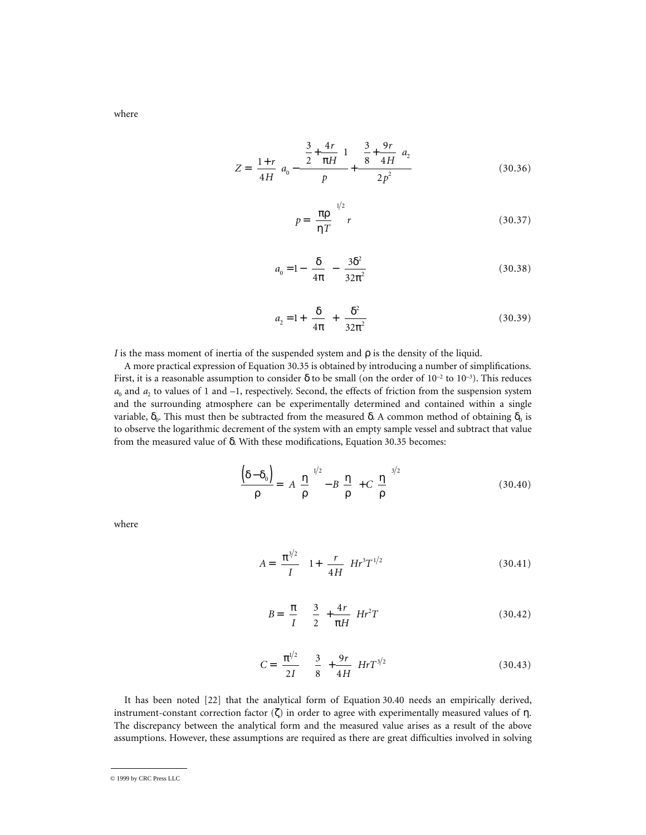where

$$
Z = \left(\frac{1+r}{4H}\right) a_0 - \frac{\left(\frac{3}{2} + \frac{4r}{\pi H}\right) 1}{p} + \frac{\left(\frac{3}{8} + \frac{9r}{4H}\right) a_2}{2p^2}
$$
(30.36)

$$
p = \left(\frac{\pi \rho}{\eta T}\right)^{1/2} r \tag{30.37}
$$

$$
a_0 = 1 - \left(\frac{\delta}{4\pi}\right) - \left(\frac{3\delta^2}{32\pi^2}\right) \tag{30.38}
$$

$$
a_2 = 1 + \left(\frac{\delta}{4\pi}\right) + \left(\frac{\delta^2}{32\pi^2}\right) \tag{30.39}
$$

*I* is the mass moment of inertia of the suspended system and  $\rho$  is the density of the liquid.

A more practical expression of Equation 30.35 is obtained by introducing a number of simplifications. First, it is a reasonable assumption to consider  $\delta$  to be small (on the order of  $10^{-2}$  to  $10^{-3}$ ). This reduces  $a_0$  and  $a_2$  to values of 1 and  $-1$ , respectively. Second, the effects of friction from the suspension system and the surrounding atmosphere can be experimentally determined and contained within a single variable,  $\delta_0$ . This must then be subtracted from the measured δ. A common method of obtaining  $\delta_0$  is to observe the logarithmic decrement of the system with an empty sample vessel and subtract that value from the measured value of δ. With these modifications, Equation 30.35 becomes:

$$
\frac{\left(\delta - \delta_0\right)}{\rho} = \left[ A \left(\frac{\eta}{\rho}\right)^{1/2} - B \left(\frac{\eta}{\rho}\right) + C \left(\frac{\eta}{\rho}\right)^{3/2} \right] \tag{30.40}
$$

where

$$
A = \left(\frac{\pi^{3/2}}{I}\right) \left[1 + \left(\frac{r}{4H}\right)Hr^3T^{1/2}\right] \tag{30.41}
$$

$$
B = \left(\frac{\pi}{I}\right) \left[\left(\frac{3}{2}\right) + \frac{4r}{\pi H}\right] H r^2 T \tag{30.42}
$$

$$
C = \left(\frac{\pi^{1/2}}{2I}\right) \left[ \left(\frac{3}{8}\right) + \frac{9r}{4H} \right] H r T^{3/2}
$$
\n(30.43)

It has been noted [22] that the analytical form of Equation 30.40 needs an empirically derived, instrument-constant correction factor (ζ) in order to agree with experimentally measured values of η. The discrepancy between the analytical form and the measured value arises as a result of the above assumptions. However, these assumptions are required as there are great difficulties involved in solving

<sup>© 1999</sup> by CRC Press LLC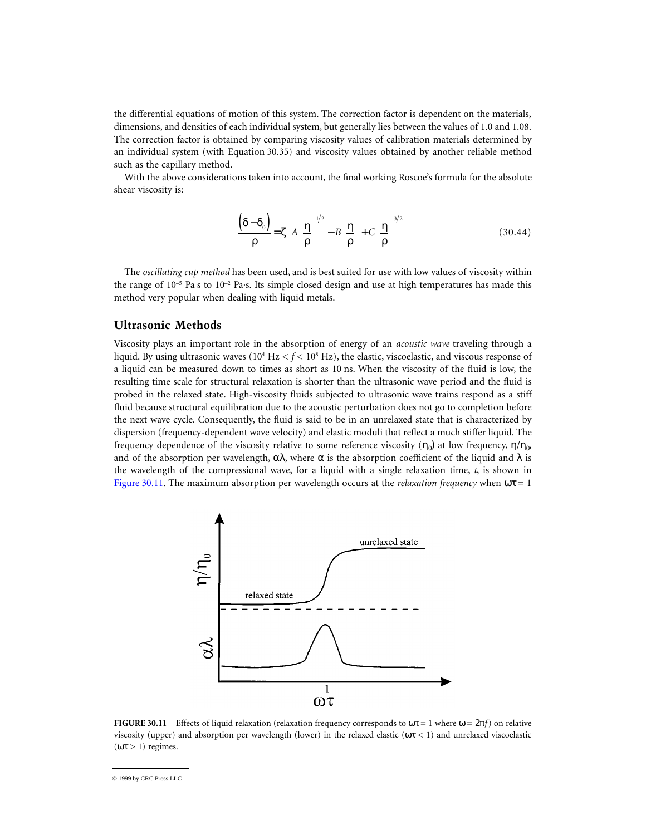the differential equations of motion of this system. The correction factor is dependent on the materials, dimensions, and densities of each individual system, but generally lies between the values of 1.0 and 1.08. The correction factor is obtained by comparing viscosity values of calibration materials determined by an individual system (with Equation 30.35) and viscosity values obtained by another reliable method such as the capillary method.

With the above considerations taken into account, the final working Roscoe's formula for the absolute shear viscosity is:

$$
\frac{(\delta - \delta_0)}{\rho} = \zeta \left[ A \left( \frac{\eta}{\rho} \right)^{1/2} - B \left( \frac{\eta}{\rho} \right) + C \left( \frac{\eta}{\rho} \right)^{3/2} \right]
$$
(30.44)

The *oscillating cup method* has been used, and is best suited for use with low values of viscosity within the range of  $10^{-5}$  Pa s to  $10^{-2}$  Pa·s. Its simple closed design and use at high temperatures has made this method very popular when dealing with liquid metals.

## **Ultrasonic Methods**

Viscosity plays an important role in the absorption of energy of an *acoustic wave* traveling through a liquid. By using ultrasonic waves  $(10^4 \text{ Hz} < f < 10^8 \text{ Hz})$ , the elastic, viscoelastic, and viscous response of a liquid can be measured down to times as short as 10 ns. When the viscosity of the fluid is low, the resulting time scale for structural relaxation is shorter than the ultrasonic wave period and the fluid is probed in the relaxed state. High-viscosity fluids subjected to ultrasonic wave trains respond as a stiff fluid because structural equilibration due to the acoustic perturbation does not go to completion before the next wave cycle. Consequently, the fluid is said to be in an unrelaxed state that is characterized by dispersion (frequency-dependent wave velocity) and elastic moduli that reflect a much stiffer liquid. The frequency dependence of the viscosity relative to some reference viscosity ( $\eta_0$ ) at low frequency,  $\eta/\eta_0$ and of the absorption per wavelength,  $\alpha\lambda$ , where  $\alpha$  is the absorption coefficient of the liquid and  $\lambda$  is the wavelength of the compressional wave, for a liquid with a single relaxation time, *t*, is shown in Figure 30.11. The maximum absorption per wavelength occurs at the *relaxation frequency* when  $\omega \tau = 1$ 



**FIGURE 30.11** Effects of liquid relaxation (relaxation frequency corresponds to  $\omega \tau = 1$  where  $\omega = 2\pi f$ ) on relative viscosity (upper) and absorption per wavelength (lower) in the relaxed elastic ( $\omega \tau$  < 1) and unrelaxed viscoelastic  $(\omega \tau > 1)$  regimes.

© 1999 by CRC Press LLC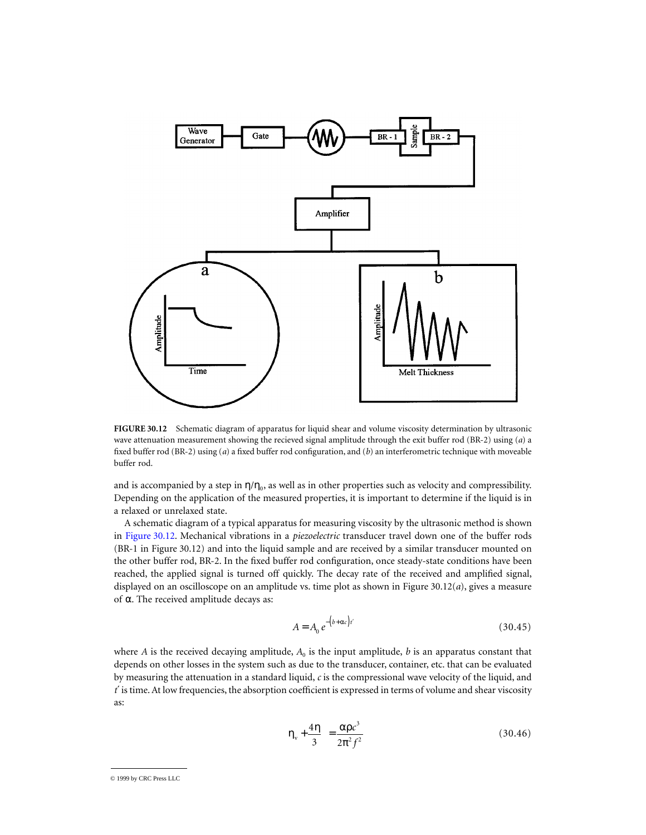

**FIGURE 30.12** Schematic diagram of apparatus for liquid shear and volume viscosity determination by ultrasonic wave attenuation measurement showing the recieved signal amplitude through the exit buffer rod (BR-2) using (*a*) a fixed buffer rod (BR-2) using (*a*) a fixed buffer rod configuration, and (*b*) an interferometric technique with moveable buffer rod.

and is accompanied by a step in  $\eta/\eta_0$ , as well as in other properties such as velocity and compressibility. Depending on the application of the measured properties, it is important to determine if the liquid is in a relaxed or unrelaxed state.

A schematic diagram of a typical apparatus for measuring viscosity by the ultrasonic method is shown in Figure 30.12. Mechanical vibrations in a *piezoelectric* transducer travel down one of the buffer rods (BR-1 in Figure 30.12) and into the liquid sample and are received by a similar transducer mounted on the other buffer rod, BR-2. In the fixed buffer rod configuration, once steady-state conditions have been reached, the applied signal is turned off quickly. The decay rate of the received and amplified signal, displayed on an oscilloscope on an amplitude vs. time plot as shown in Figure 30.12(*a*), gives a measure of α. The received amplitude decays as:

 $\lambda$ 

$$
A = A_0 e^{-(b + \alpha c)t'} \tag{30.45}
$$

where *A* is the received decaying amplitude,  $A_0$  is the input amplitude, *b* is an apparatus constant that depends on other losses in the system such as due to the transducer, container, etc. that can be evaluated by measuring the attenuation in a standard liquid, *c* is the compressional wave velocity of the liquid, and *t*′ is time.At low frequencies, the absorption coefficient is expressed in terms of volume and shear viscosity as:

$$
\left(\eta_{\rm v} + \frac{4\eta}{3}\right) = \frac{\alpha \rho c^3}{2\pi^2 f^2} \tag{30.46}
$$

<sup>© 1999</sup> by CRC Press LLC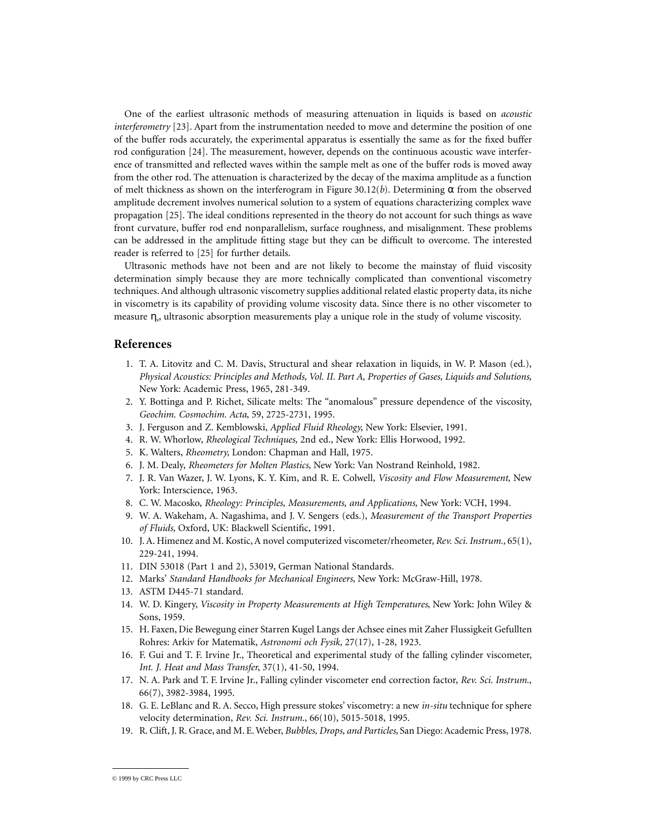One of the earliest ultrasonic methods of measuring attenuation in liquids is based on *acoustic interferometry* [23]. Apart from the instrumentation needed to move and determine the position of one of the buffer rods accurately, the experimental apparatus is essentially the same as for the fixed buffer rod configuration [24]. The measurement, however, depends on the continuous acoustic wave interference of transmitted and reflected waves within the sample melt as one of the buffer rods is moved away from the other rod. The attenuation is characterized by the decay of the maxima amplitude as a function of melt thickness as shown on the interferogram in Figure 30.12(*b*). Determining  $\alpha$  from the observed amplitude decrement involves numerical solution to a system of equations characterizing complex wave propagation [25]. The ideal conditions represented in the theory do not account for such things as wave front curvature, buffer rod end nonparallelism, surface roughness, and misalignment. These problems can be addressed in the amplitude fitting stage but they can be difficult to overcome. The interested reader is referred to [25] for further details.

Ultrasonic methods have not been and are not likely to become the mainstay of fluid viscosity determination simply because they are more technically complicated than conventional viscometry techniques. And although ultrasonic viscometry supplies additional related elastic property data, its niche in viscometry is its capability of providing volume viscosity data. Since there is no other viscometer to measure  $\eta_{\nu}$  ultrasonic absorption measurements play a unique role in the study of volume viscosity.

## **References**

- 1. T. A. Litovitz and C. M. Davis, Structural and shear relaxation in liquids, in W. P. Mason (ed.), *Physical Acoustics: Principles and Methods, Vol. II. Part A, Properties of Gases, Liquids and Solutions*, New York: Academic Press, 1965, 281-349.
- 2. Y. Bottinga and P. Richet, Silicate melts: The "anomalous" pressure dependence of the viscosity, *Geochim. Cosmochim. Acta*, 59, 2725-2731, 1995.
- 3. J. Ferguson and Z. Kemblowski, *Applied Fluid Rheology*, New York: Elsevier, 1991.
- 4. R. W. Whorlow, *Rheological Techniques,* 2nd ed., New York: Ellis Horwood, 1992.
- 5. K. Walters, *Rheometry,* London: Chapman and Hall, 1975.
- 6. J. M. Dealy, *Rheometers for Molten Plastics,* New York: Van Nostrand Reinhold, 1982.
- 7. J. R. Van Wazer, J. W. Lyons, K. Y. Kim, and R. E. Colwell, *Viscosity and Flow Measurement,* New York: Interscience, 1963.
- 8. C. W. Macosko, *Rheology: Principles, Measurements, and Applications,* New York: VCH, 1994.
- 9. W. A. Wakeham, A. Nagashima, and J. V. Sengers (eds.), *Measurement of the Transport Properties of Fluids,* Oxford, UK: Blackwell Scientific, 1991.
- 10. J. A. Himenez and M. Kostic, A novel computerized viscometer/rheometer, *Rev. Sci. Instrum.,* 65(1), 229-241, 1994.
- 11. DIN 53018 (Part 1 and 2), 53019, German National Standards.
- 12. Marks' *Standard Handbooks for Mechanical Engineers,* New York: McGraw-Hill, 1978.
- 13. ASTM D445-71 standard.
- 14. W. D. Kingery, *Viscosity in Property Measurements at High Temperatures*, New York: John Wiley & Sons, 1959.
- 15. H. Faxen, Die Bewegung einer Starren Kugel Langs der Achsee eines mit Zaher Flussigkeit Gefullten Rohres: Arkiv for Matematik, *Astronomi och Fysik,* 27(17), 1-28, 1923.
- 16. F. Gui and T. F. Irvine Jr., Theoretical and experimental study of the falling cylinder viscometer, *Int. J. Heat and Mass Transfer*, 37(1), 41-50, 1994.
- 17. N. A. Park and T. F. Irvine Jr., Falling cylinder viscometer end correction factor, *Rev. Sci. Instrum.*, 66(7), 3982-3984, 1995.
- 18. G. E. LeBlanc and R. A. Secco, High pressure stokes' viscometry: a new *in-situ* technique for sphere velocity determination, *Rev. Sci. Instrum.*, 66(10), 5015-5018, 1995.
- 19. R. Clift, J. R. Grace, and M. E. Weber, *Bubbles, Drops, and Particles*, San Diego: Academic Press, 1978.